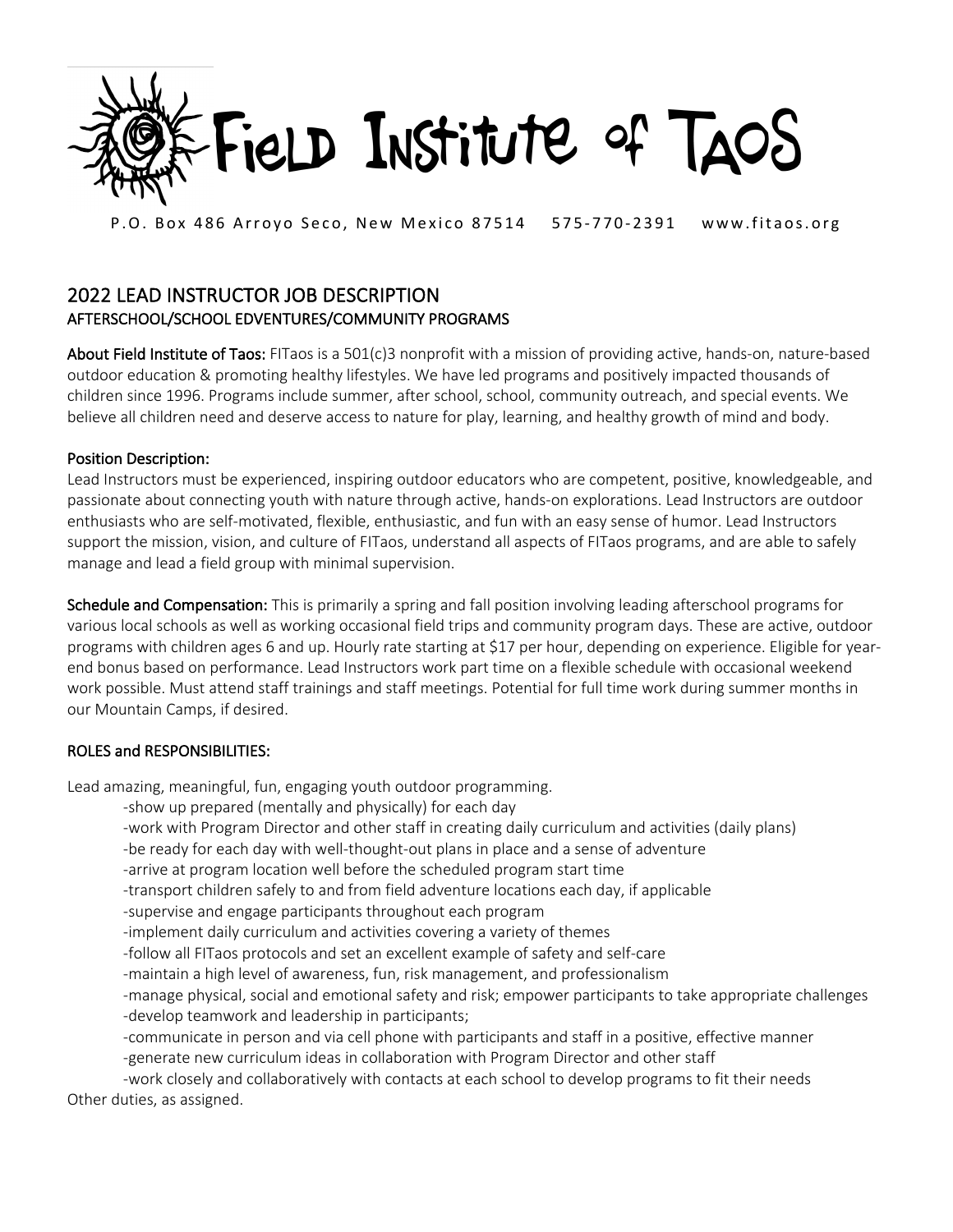

P.O. Box 486 Arroyo Seco, New Mexico 87514 575-770-2391 www.fitaos.org

## 2022 LEAD INSTRUCTOR JOB DESCRIPTION AFTERSCHOOL/SCHOOL EDVENTURES/COMMUNITY PROGRAMS

About Field Institute of Taos: FITaos is a 501(c)3 nonprofit with a mission of providing active, hands-on, nature-based outdoor education & promoting healthy lifestyles. We have led programs and positively impacted thousands of children since 1996. Programs include summer, after school, school, community outreach, and special events. We believe all children need and deserve access to nature for play, learning, and healthy growth of mind and body.

## Position Description:

Lead Instructors must be experienced, inspiring outdoor educators who are competent, positive, knowledgeable, and passionate about connecting youth with nature through active, hands-on explorations. Lead Instructors are outdoor enthusiasts who are self-motivated, flexible, enthusiastic, and fun with an easy sense of humor. Lead Instructors support the mission, vision, and culture of FITaos, understand all aspects of FITaos programs, and are able to safely manage and lead a field group with minimal supervision.

Schedule and Compensation: This is primarily a spring and fall position involving leading afterschool programs for various local schools as well as working occasional field trips and community program days. These are active, outdoor programs with children ages 6 and up. Hourly rate starting at \$17 per hour, depending on experience. Eligible for yearend bonus based on performance. Lead Instructors work part time on a flexible schedule with occasional weekend work possible. Must attend staff trainings and staff meetings. Potential for full time work during summer months in our Mountain Camps, if desired.

## ROLES and RESPONSIBILITIES:

Lead amazing, meaningful, fun, engaging youth outdoor programming.

- -show up prepared (mentally and physically) for each day
- -work with Program Director and other staff in creating daily curriculum and activities (daily plans)
- -be ready for each day with well-thought-out plans in place and a sense of adventure

-arrive at program location well before the scheduled program start time

- -transport children safely to and from field adventure locations each day, if applicable
- -supervise and engage participants throughout each program
- -implement daily curriculum and activities covering a variety of themes
- -follow all FITaos protocols and set an excellent example of safety and self-care
- -maintain a high level of awareness, fun, risk management, and professionalism
- -manage physical, social and emotional safety and risk; empower participants to take appropriate challenges -develop teamwork and leadership in participants;
- -communicate in person and via cell phone with participants and staff in a positive, effective manner -generate new curriculum ideas in collaboration with Program Director and other staff
- -work closely and collaboratively with contacts at each school to develop programs to fit their needs Other duties, as assigned.